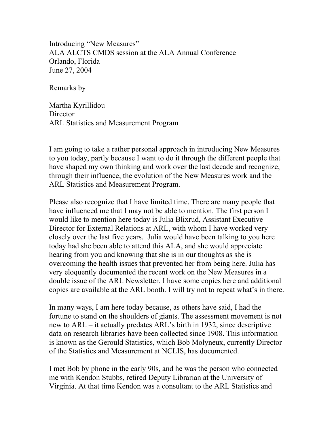Introducing "New Measures" ALA ALCTS CMDS session at the ALA Annual Conference Orlando, Florida June 27, 2004

Remarks by

Martha Kyrillidou **Director** ARL Statistics and Measurement Program

I am going to take a rather personal approach in introducing New Measures to you today, partly because I want to do it through the different people that have shaped my own thinking and work over the last decade and recognize, through their influence, the evolution of the New Measures work and the ARL Statistics and Measurement Program.

Please also recognize that I have limited time. There are many people that have influenced me that I may not be able to mention. The first person I would like to mention here today is Julia Blixrud, Assistant Executive Director for External Relations at ARL, with whom I have worked very closely over the last five years. Julia would have been talking to you here today had she been able to attend this ALA, and she would appreciate hearing from you and knowing that she is in our thoughts as she is overcoming the health issues that prevented her from being here. Julia has very eloquently documented the recent work on the New Measures in a double issue of the ARL Newsletter. I have some copies here and additional copies are available at the ARL booth. I will try not to repeat what's in there.

In many ways, I am here today because, as others have said, I had the fortune to stand on the shoulders of giants. The assessment movement is not new to ARL – it actually predates ARL's birth in 1932, since descriptive data on research libraries have been collected since 1908. This information is known as the Gerould Statistics, which Bob Molyneux, currently Director of the Statistics and Measurement at NCLIS, has documented.

I met Bob by phone in the early 90s, and he was the person who connected me with Kendon Stubbs, retired Deputy Librarian at the University of Virginia. At that time Kendon was a consultant to the ARL Statistics and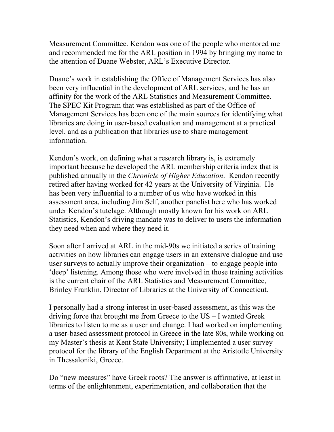Measurement Committee. Kendon was one of the people who mentored me and recommended me for the ARL position in 1994 by bringing my name to the attention of Duane Webster, ARL's Executive Director.

Duane's work in establishing the Office of Management Services has also been very influential in the development of ARL services, and he has an affinity for the work of the ARL Statistics and Measurement Committee. The SPEC Kit Program that was established as part of the Office of Management Services has been one of the main sources for identifying what libraries are doing in user-based evaluation and management at a practical level, and as a publication that libraries use to share management information.

Kendon's work, on defining what a research library is, is extremely important because he developed the ARL membership criteria index that is published annually in the *Chronicle of Higher Education*. Kendon recently retired after having worked for 42 years at the University of Virginia. He has been very influential to a number of us who have worked in this assessment area, including Jim Self, another panelist here who has worked under Kendon's tutelage. Although mostly known for his work on ARL Statistics, Kendon's driving mandate was to deliver to users the information they need when and where they need it.

Soon after I arrived at ARL in the mid-90s we initiated a series of training activities on how libraries can engage users in an extensive dialogue and use user surveys to actually improve their organization – to engage people into 'deep' listening. Among those who were involved in those training activities is the current chair of the ARL Statistics and Measurement Committee, Brinley Franklin, Director of Libraries at the University of Connecticut.

I personally had a strong interest in user-based assessment, as this was the driving force that brought me from Greece to the US – I wanted Greek libraries to listen to me as a user and change. I had worked on implementing a user-based assessment protocol in Greece in the late 80s, while working on my Master's thesis at Kent State University; I implemented a user survey protocol for the library of the English Department at the Aristotle University in Thessaloniki, Greece.

Do "new measures" have Greek roots? The answer is affirmative, at least in terms of the enlightenment, experimentation, and collaboration that the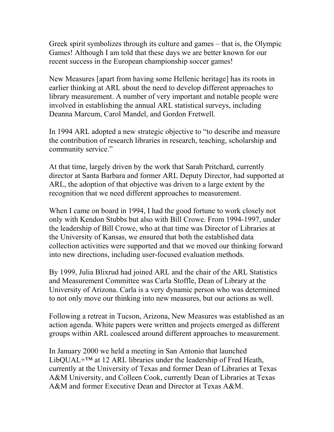Greek spirit symbolizes through its culture and games – that is, the Olympic Games! Although I am told that these days we are better known for our recent success in the European championship soccer games!

New Measures [apart from having some Hellenic heritage] has its roots in earlier thinking at ARL about the need to develop different approaches to library measurement. A number of very important and notable people were involved in establishing the annual ARL statistical surveys, including Deanna Marcum, Carol Mandel, and Gordon Fretwell.

In 1994 ARL adopted a new strategic objective to "to describe and measure the contribution of research libraries in research, teaching, scholarship and community service."

At that time, largely driven by the work that Sarah Pritchard, currently director at Santa Barbara and former ARL Deputy Director, had supported at ARL, the adoption of that objective was driven to a large extent by the recognition that we need different approaches to measurement.

When I came on board in 1994, I had the good fortune to work closely not only with Kendon Stubbs but also with Bill Crowe. From 1994-1997, under the leadership of Bill Crowe, who at that time was Director of Libraries at the University of Kansas, we ensured that both the established data collection activities were supported and that we moved our thinking forward into new directions, including user-focused evaluation methods.

By 1999, Julia Blixrud had joined ARL and the chair of the ARL Statistics and Measurement Committee was Carla Stoffle, Dean of Library at the University of Arizona. Carla is a very dynamic person who was determined to not only move our thinking into new measures, but our actions as well.

Following a retreat in Tucson, Arizona, New Measures was established as an action agenda. White papers were written and projects emerged as different groups within ARL coalesced around different approaches to measurement.

In January 2000 we held a meeting in San Antonio that launched LibQUAL $+^{TM}$  at 12 ARL libraries under the leadership of Fred Heath, currently at the University of Texas and former Dean of Libraries at Texas A&M University, and Colleen Cook, currently Dean of Libraries at Texas A&M and former Executive Dean and Director at Texas A&M.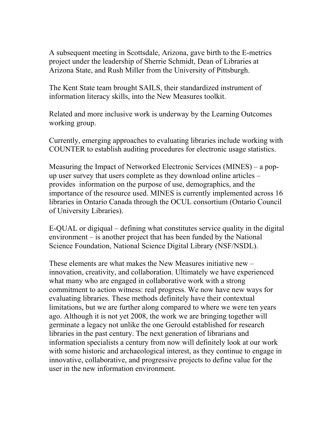A subsequent meeting in Scottsdale, Arizona, gave birth to the E-metrics project under the leadership of Sherrie Schmidt, Dean of Libraries at Arizona State, and Rush Miller from the University of Pittsburgh.

The Kent State team brought SAILS, their standardized instrument of information literacy skills, into the New Measures toolkit.

Related and more inclusive work is underway by the Learning Outcomes working group.

Currently, emerging approaches to evaluating libraries include working with COUNTER to establish auditing procedures for electronic usage statistics.

Measuring the Impact of Networked Electronic Services (MINES) – a popup user survey that users complete as they download online articles – provides information on the purpose of use, demographics, and the importance of the resource used. MINES is currently implemented across 16 libraries in Ontario Canada through the OCUL consortium (Ontario Council of University Libraries).

E-QUAL or digiqual – defining what constitutes service quality in the digital environment – is another project that has been funded by the National Science Foundation, National Science Digital Library (NSF/NSDL).

These elements are what makes the New Measures initiative new – innovation, creativity, and collaboration. Ultimately we have experienced what many who are engaged in collaborative work with a strong commitment to action witness: real progress. We now have new ways for evaluating libraries. These methods definitely have their contextual limitations, but we are further along compared to where we were ten years ago. Although it is not yet 2008, the work we are bringing together will germinate a legacy not unlike the one Gerould established for research libraries in the past century. The next generation of librarians and information specialists a century from now will definitely look at our work with some historic and archaeological interest, as they continue to engage in innovative, collaborative, and progressive projects to define value for the user in the new information environment.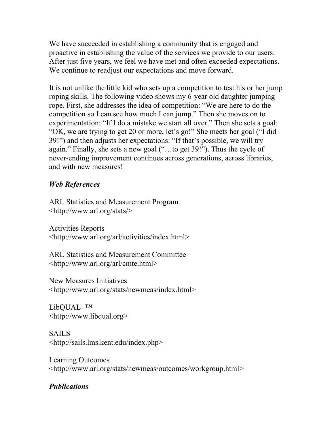We have succeeded in establishing a community that is engaged and proactive in establishing the value of the services we provide to our users. After just five years, we feel we have met and often exceeded expectations. We continue to readjust our expectations and move forward.

It is not unlike the little kid who sets up a competition to test his or her jump roping skills. The following video shows my 6-year old daughter jumping rope. First, she addresses the idea of competition: "We are here to do the competition so I can see how much I can jump." Then she moves on to experimentation: "If I do a mistake we start all over." Then she sets a goal: "OK, we are trying to get 20 or more, let's go!" She meets her goal ("I did 39!") and then adjusts her expectations: "If that's possible, we will try again." Finally, she sets a new goal ("…to get 39!"). Thus the cycle of never-ending improvement continues across generations, across libraries, and with new measures!

## *Web References*

ARL Statistics and Measurement Program <http://www.arl.org/stats/>

Activities Reports <http://www.arl.org/arl/activities/index.html>

ARL Statistics and Measurement Committee <http://www.arl.org/arl/cmte.html>

New Measures Initiatives <http://www.arl.org/stats/newmeas/index.html>

LibQUAL+™ <http://www.libqual.org>

SAILS <http://sails.lms.kent.edu/index.php>

Learning Outcomes <http://www.arl.org/stats/newmeas/outcomes/workgroup.html>

## *Publications*